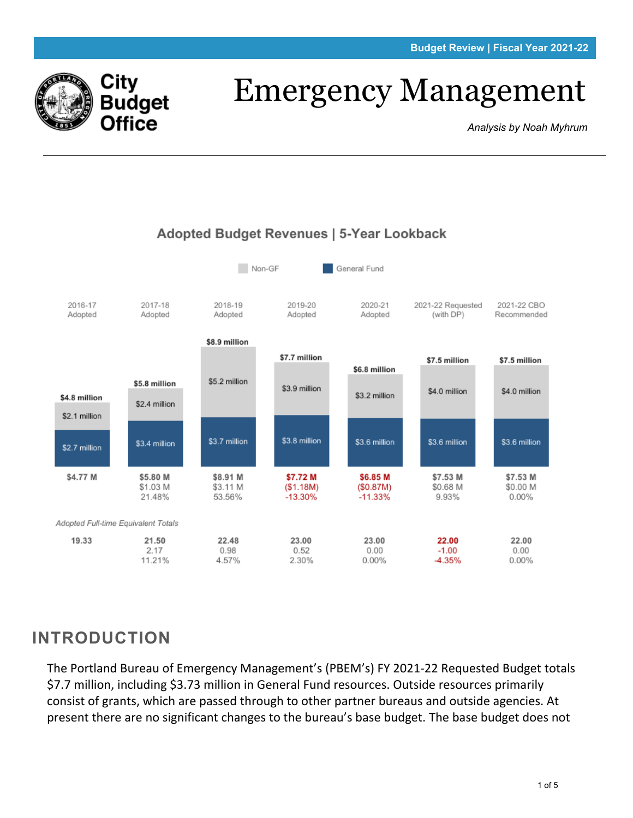

# Emergency Management

*Analysis by Noah Myhrum*



#### Adopted Budget Revenues | 5-Year Lookback

### **INTRODUCTION**

The Portland Bureau of Emergency Management's (PBEM's) FY 2021-22 Requested Budget totals \$7.7 million, including \$3.73 million in General Fund resources. Outside resources primarily consist of grants, which are passed through to other partner bureaus and outside agencies. At present there are no significant changes to the bureau's base budget. The base budget does not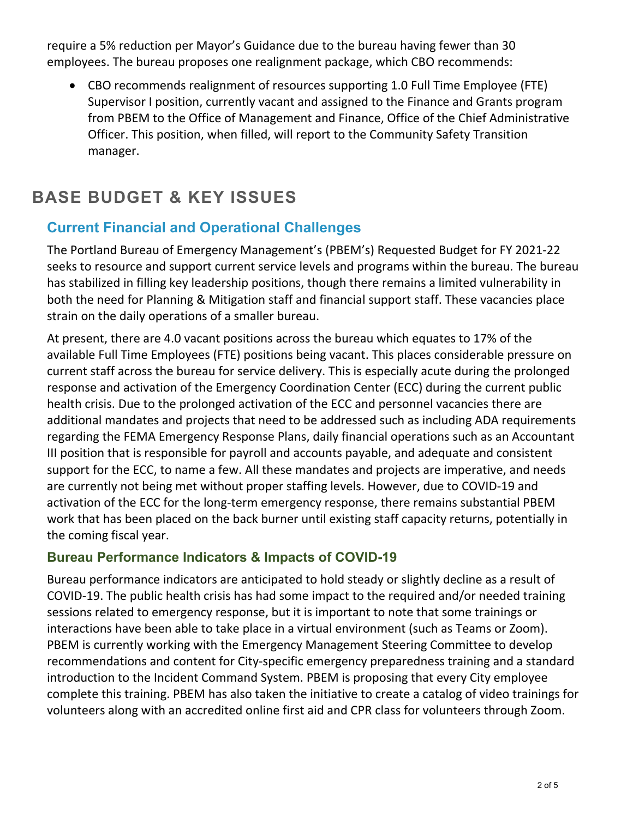require a 5% reduction per Mayor's Guidance due to the bureau having fewer than 30 employees. The bureau proposes one realignment package, which CBO recommends:

• CBO recommends realignment of resources supporting 1.0 Full Time Employee (FTE) Supervisor I position, currently vacant and assigned to the Finance and Grants program from PBEM to the Office of Management and Finance, Office of the Chief Administrative Officer. This position, when filled, will report to the Community Safety Transition manager.

## **BASE BUDGET & KEY ISSUES**

#### **Current Financial and Operational Challenges**

The Portland Bureau of Emergency Management's (PBEM's) Requested Budget for FY 2021-22 seeks to resource and support current service levels and programs within the bureau. The bureau has stabilized in filling key leadership positions, though there remains a limited vulnerability in both the need for Planning & Mitigation staff and financial support staff. These vacancies place strain on the daily operations of a smaller bureau.

At present, there are 4.0 vacant positions across the bureau which equates to 17% of the available Full Time Employees (FTE) positions being vacant. This places considerable pressure on current staff across the bureau for service delivery. This is especially acute during the prolonged response and activation of the Emergency Coordination Center (ECC) during the current public health crisis. Due to the prolonged activation of the ECC and personnel vacancies there are additional mandates and projects that need to be addressed such as including ADA requirements regarding the FEMA Emergency Response Plans, daily financial operations such as an Accountant III position that is responsible for payroll and accounts payable, and adequate and consistent support for the ECC, to name a few. All these mandates and projects are imperative, and needs are currently not being met without proper staffing levels. However, due to COVID-19 and activation of the ECC for the long-term emergency response, there remains substantial PBEM work that has been placed on the back burner until existing staff capacity returns, potentially in the coming fiscal year.

#### **Bureau Performance Indicators & Impacts of COVID-19**

Bureau performance indicators are anticipated to hold steady or slightly decline as a result of COVID-19. The public health crisis has had some impact to the required and/or needed training sessions related to emergency response, but it is important to note that some trainings or interactions have been able to take place in a virtual environment (such as Teams or Zoom). PBEM is currently working with the Emergency Management Steering Committee to develop recommendations and content for City-specific emergency preparedness training and a standard introduction to the Incident Command System. PBEM is proposing that every City employee complete this training. PBEM has also taken the initiative to create a catalog of video trainings for volunteers along with an accredited online first aid and CPR class for volunteers through Zoom.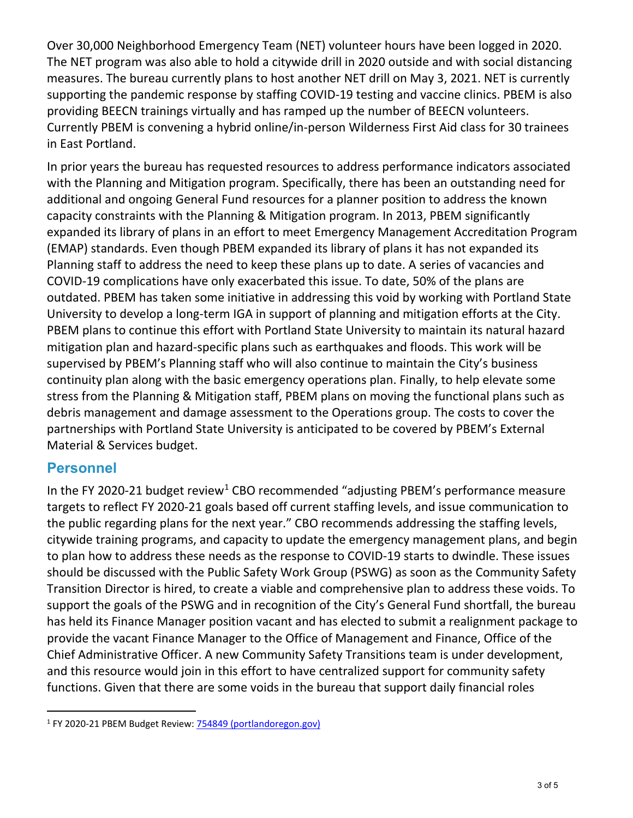Over 30,000 Neighborhood Emergency Team (NET) volunteer hours have been logged in 2020. The NET program was also able to hold a citywide drill in 2020 outside and with social distancing measures. The bureau currently plans to host another NET drill on May 3, 2021. NET is currently supporting the pandemic response by staffing COVID-19 testing and vaccine clinics. PBEM is also providing BEECN trainings virtually and has ramped up the number of BEECN volunteers. Currently PBEM is convening a hybrid online/in-person Wilderness First Aid class for 30 trainees in East Portland.

In prior years the bureau has requested resources to address performance indicators associated with the Planning and Mitigation program. Specifically, there has been an outstanding need for additional and ongoing General Fund resources for a planner position to address the known capacity constraints with the Planning & Mitigation program. In 2013, PBEM significantly expanded its library of plans in an effort to meet Emergency Management Accreditation Program (EMAP) standards. Even though PBEM expanded its library of plans it has not expanded its Planning staff to address the need to keep these plans up to date. A series of vacancies and COVID-19 complications have only exacerbated this issue. To date, 50% of the plans are outdated. PBEM has taken some initiative in addressing this void by working with Portland State University to develop a long-term IGA in support of planning and mitigation efforts at the City. PBEM plans to continue this effort with Portland State University to maintain its natural hazard mitigation plan and hazard-specific plans such as earthquakes and floods. This work will be supervised by PBEM's Planning staff who will also continue to maintain the City's business continuity plan along with the basic emergency operations plan. Finally, to help elevate some stress from the Planning & Mitigation staff, PBEM plans on moving the functional plans such as debris management and damage assessment to the Operations group. The costs to cover the partnerships with Portland State University is anticipated to be covered by PBEM's External Material & Services budget.

#### **Personnel**

In the FY 2020-2[1](#page-2-0) budget review<sup>1</sup> CBO recommended "adjusting PBEM's performance measure targets to reflect FY 2020-21 goals based off current staffing levels, and issue communication to the public regarding plans for the next year." CBO recommends addressing the staffing levels, citywide training programs, and capacity to update the emergency management plans, and begin to plan how to address these needs as the response to COVID-19 starts to dwindle. These issues should be discussed with the Public Safety Work Group (PSWG) as soon as the Community Safety Transition Director is hired, to create a viable and comprehensive plan to address these voids. To support the goals of the PSWG and in recognition of the City's General Fund shortfall, the bureau has held its Finance Manager position vacant and has elected to submit a realignment package to provide the vacant Finance Manager to the Office of Management and Finance, Office of the Chief Administrative Officer. A new Community Safety Transitions team is under development, and this resource would join in this effort to have centralized support for community safety functions. Given that there are some voids in the bureau that support daily financial roles

<span id="page-2-0"></span><sup>&</sup>lt;sup>1</sup> FY 2020-21 PBEM Budget Review: [754849 \(portlandoregon.gov\)](https://www.portlandoregon.gov/cbo/article/754849)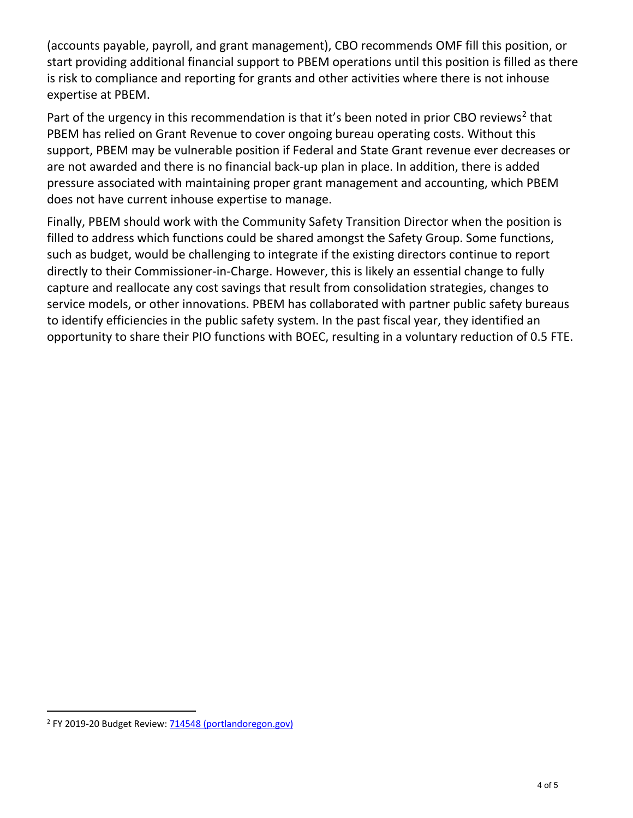(accounts payable, payroll, and grant management), CBO recommends OMF fill this position, or start providing additional financial support to PBEM operations until this position is filled as there is risk to compliance and reporting for grants and other activities where there is not inhouse expertise at PBEM.

Part of the urgency in this recommendation is that it's been noted in prior CBO reviews<sup>[2](#page-3-0)</sup> that PBEM has relied on Grant Revenue to cover ongoing bureau operating costs. Without this support, PBEM may be vulnerable position if Federal and State Grant revenue ever decreases or are not awarded and there is no financial back-up plan in place. In addition, there is added pressure associated with maintaining proper grant management and accounting, which PBEM does not have current inhouse expertise to manage.

Finally, PBEM should work with the Community Safety Transition Director when the position is filled to address which functions could be shared amongst the Safety Group. Some functions, such as budget, would be challenging to integrate if the existing directors continue to report directly to their Commissioner-in-Charge. However, this is likely an essential change to fully capture and reallocate any cost savings that result from consolidation strategies, changes to service models, or other innovations. PBEM has collaborated with partner public safety bureaus to identify efficiencies in the public safety system. In the past fiscal year, they identified an opportunity to share their PIO functions with BOEC, resulting in a voluntary reduction of 0.5 FTE.

<span id="page-3-0"></span><sup>2</sup> FY 2019-20 Budget Review: [714548 \(portlandoregon.gov\)](https://www.portlandoregon.gov/cbo/article/714548)